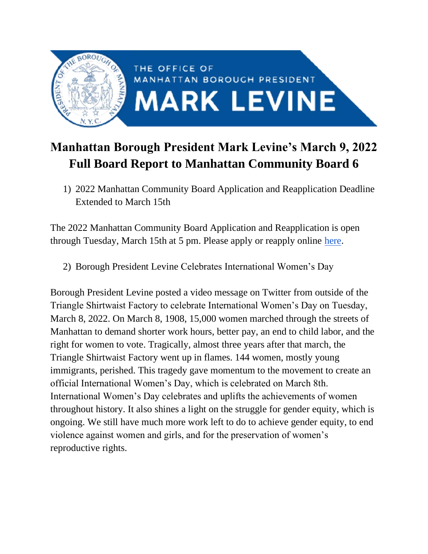

## **Manhattan Borough President Mark Levine's March 9, 2022 Full Board Report to Manhattan Community Board 6**

1) 2022 Manhattan Community Board Application and Reapplication Deadline Extended to March 15th

The 2022 Manhattan Community Board Application and Reapplication is open through Tuesday, March 15th at 5 pm. Please apply or reapply online [here.](https://manhattancommunityboards.wufoo.com/forms/p2a2s130qjma1g/)

2) Borough President Levine Celebrates International Women's Day

Borough President Levine posted a video message on Twitter from outside of the Triangle Shirtwaist Factory to celebrate International Women's Day on Tuesday, March 8, 2022. On March 8, 1908, 15,000 women marched through the streets of Manhattan to demand shorter work hours, better pay, an end to child labor, and the right for women to vote. Tragically, almost three years after that march, the Triangle Shirtwaist Factory went up in flames. 144 women, mostly young immigrants, perished. This tragedy gave momentum to the movement to create an official International Women's Day, which is celebrated on March 8th. International Women's Day celebrates and uplifts the achievements of women throughout history. It also shines a light on the struggle for gender equity, which is ongoing. We still have much more work left to do to achieve gender equity, to end violence against women and girls, and for the preservation of women's reproductive rights.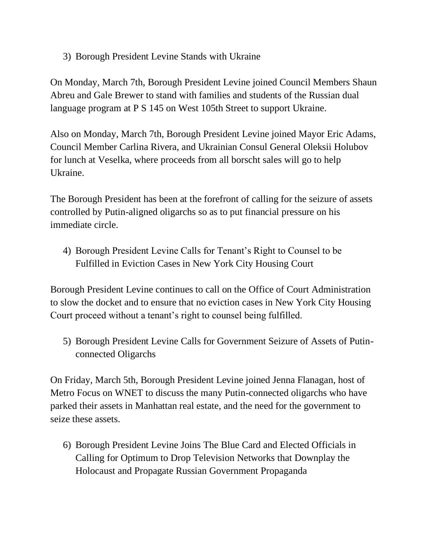3) Borough President Levine Stands with Ukraine

On Monday, March 7th, Borough President Levine joined Council Members Shaun Abreu and Gale Brewer to stand with families and students of the Russian dual language program at P S 145 on West 105th Street to support Ukraine.

Also on Monday, March 7th, Borough President Levine joined Mayor Eric Adams, Council Member Carlina Rivera, and Ukrainian Consul General Oleksii Holubov for lunch at Veselka, where proceeds from all borscht sales will go to help Ukraine.

The Borough President has been at the forefront of calling for the seizure of assets controlled by Putin-aligned oligarchs so as to put financial pressure on his immediate circle.

4) Borough President Levine Calls for Tenant's Right to Counsel to be Fulfilled in Eviction Cases in New York City Housing Court

Borough President Levine continues to call on the Office of Court Administration to slow the docket and to ensure that no eviction cases in New York City Housing Court proceed without a tenant's right to counsel being fulfilled.

5) Borough President Levine Calls for Government Seizure of Assets of Putinconnected Oligarchs

On Friday, March 5th, Borough President Levine joined Jenna Flanagan, host of Metro Focus on WNET to discuss the many Putin-connected oligarchs who have parked their assets in Manhattan real estate, and the need for the government to seize these assets.

6) Borough President Levine Joins The Blue Card and Elected Officials in Calling for Optimum to Drop Television Networks that Downplay the Holocaust and Propagate Russian Government Propaganda